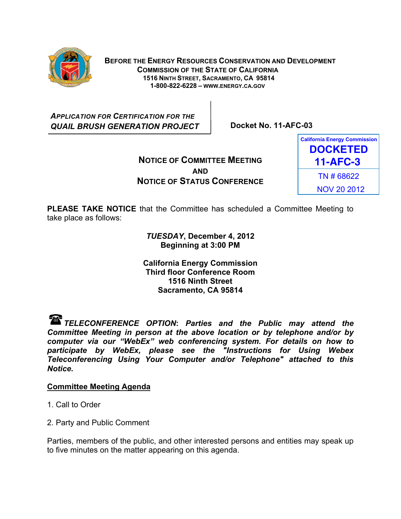

 **BEFORE THE ENERGY RESOURCES CONSERVATION AND DEVELOPMENT COMMISSION OF THE STATE OF CALIFORNIA 1516 NINTH STREET, SACRAMENTO, CA 95814 1-800-822-6228 – WWW.ENERGY.CA.GOV**

*APPLICATION FOR CERTIFICATION FOR THE QUAIL BRUSH GENERATION PROJECT* **Docket No. 11-AFC-03** 

**NOTICE OF COMMITTEE MEETING AND NOTICE OF STATUS CONFERENCE**



**PLEASE TAKE NOTICE** that the Committee has scheduled a Committee Meeting to take place as follows:

> *TUESDAY***, December 4, 2012 Beginning at 3:00 PM**

**California Energy Commission Third floor Conference Room 1516 Ninth Street Sacramento, CA 95814** 

*TELECONFERENCE OPTION***:** *Parties and the Public may attend the Committee Meeting in person at the above location or by telephone and/or by computer via our "WebEx" web conferencing system. For details on how to participate by WebEx, please see the "Instructions for Using Webex Teleconferencing Using Your Computer and/or Telephone" attached to this Notice.* 

# **Committee Meeting Agenda**

- 1. Call to Order
- 2. Party and Public Comment

Parties, members of the public, and other interested persons and entities may speak up to five minutes on the matter appearing on this agenda.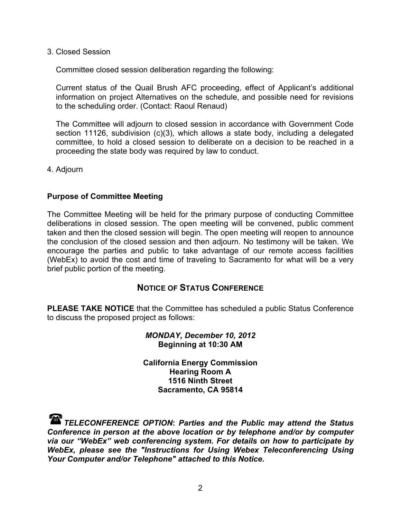3. Closed Session

Committee closed session deliberation regarding the following:

Current status of the Quail Brush AFC proceeding, effect of Applicant's additional information on project Alternatives on the schedule, and possible need for revisions to the scheduling order. (Contact: Raoul Renaud)

The Committee will adjourn to closed session in accordance with Government Code section 11126, subdivision (c)(3), which allows a state body, including a delegated committee, to hold a closed session to deliberate on a decision to be reached in a proceeding the state body was required by law to conduct.

4. Adjourn

## **Purpose of Committee Meeting**

The Committee Meeting will be held for the primary purpose of conducting Committee deliberations in closed session. The open meeting will be convened, public comment taken and then the closed session will begin. The open meeting will reopen to announce the conclusion of the closed session and then adjourn. No testimony will be taken. We encourage the parties and public to take advantage of our remote access facilities (WebEx) to avoid the cost and time of traveling to Sacramento for what will be a very brief public portion of the meeting.

## **NOTICE OF STATUS CONFERENCE**

**PLEASE TAKE NOTICE** that the Committee has scheduled a public Status Conference to discuss the proposed project as follows:

## *MONDAY, December 10, 2012*  **Beginning at 10:30 AM**

**California Energy Commission Hearing Room A 1516 Ninth Street Sacramento, CA 95814** 

*TELECONFERENCE OPTION***:** *Parties and the Public may attend the Status Conference in person at the above location or by telephone and/or by computer via our "WebEx" web conferencing system. For details on how to participate by WebEx, please see the "Instructions for Using Webex Teleconferencing Using Your Computer and/or Telephone" attached to this Notice.*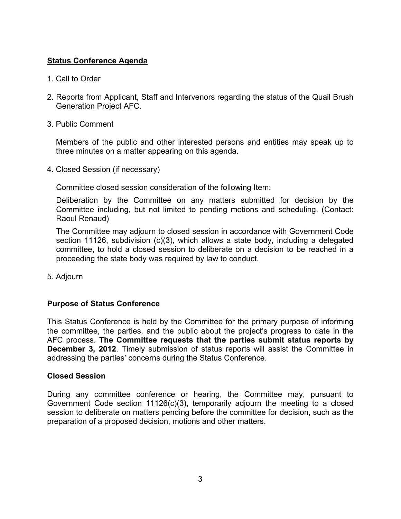# **Status Conference Agenda**

- 1. Call to Order
- 2. Reports from Applicant, Staff and Intervenors regarding the status of the Quail Brush Generation Project AFC.
- 3. Public Comment

Members of the public and other interested persons and entities may speak up to three minutes on a matter appearing on this agenda.

4. Closed Session (if necessary)

Committee closed session consideration of the following Item:

Deliberation by the Committee on any matters submitted for decision by the Committee including, but not limited to pending motions and scheduling. (Contact: Raoul Renaud)

The Committee may adjourn to closed session in accordance with Government Code section 11126, subdivision (c)(3), which allows a state body, including a delegated committee, to hold a closed session to deliberate on a decision to be reached in a proceeding the state body was required by law to conduct.

5. Adjourn

# **Purpose of Status Conference**

This Status Conference is held by the Committee for the primary purpose of informing the committee, the parties, and the public about the project's progress to date in the AFC process. **The Committee requests that the parties submit status reports by December 3, 2012**. Timely submission of status reports will assist the Committee in addressing the parties' concerns during the Status Conference.

## **Closed Session**

During any committee conference or hearing, the Committee may, pursuant to Government Code section 11126(c)(3), temporarily adjourn the meeting to a closed session to deliberate on matters pending before the committee for decision, such as the preparation of a proposed decision, motions and other matters.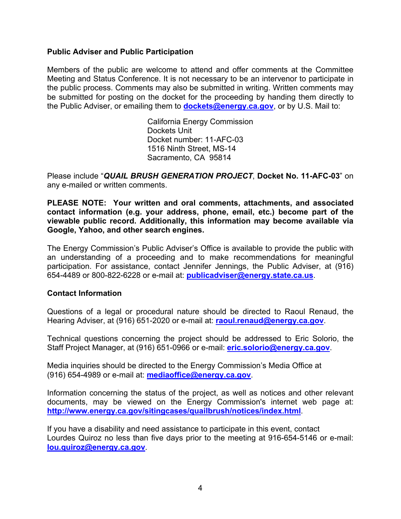## **Public Adviser and Public Participation**

Members of the public are welcome to attend and offer comments at the Committee Meeting and Status Conference. It is not necessary to be an intervenor to participate in the public process. Comments may also be submitted in writing. Written comments may be submitted for posting on the docket for the proceeding by handing them directly to the Public Adviser, or emailing them to **dockets@energy.ca.gov**, or by U.S. Mail to:

> California Energy Commission Dockets Unit Docket number: 11-AFC-03 1516 Ninth Street, MS-14 Sacramento, CA 95814

Please include "*QUAIL BRUSH GENERATION PROJECT*, **Docket No. 11-AFC-03**" on any e-mailed or written comments.

**PLEASE NOTE: Your written and oral comments, attachments, and associated contact information (e.g. your address, phone, email, etc.) become part of the viewable public record. Additionally, this information may become available via Google, Yahoo, and other search engines.** 

The Energy Commission's Public Adviser's Office is available to provide the public with an understanding of a proceeding and to make recommendations for meaningful participation. For assistance, contact Jennifer Jennings, the Public Adviser, at (916) 654-4489 or 800-822-6228 or e-mail at: **publicadviser@energy.state.ca.us**.

## **Contact Information**

Questions of a legal or procedural nature should be directed to Raoul Renaud, the Hearing Adviser, at (916) 651-2020 or e-mail at: **raoul.renaud@energy.ca.gov**.

Technical questions concerning the project should be addressed to Eric Solorio, the Staff Project Manager, at (916) 651-0966 or e-mail: **eric.solorio@energy.ca.gov**.

Media inquiries should be directed to the Energy Commission's Media Office at (916) 654-4989 or e-mail at: **mediaoffice@energy.ca.gov**.

Information concerning the status of the project, as well as notices and other relevant documents, may be viewed on the Energy Commission's internet web page at: **http://www.energy.ca.gov/sitingcases/quailbrush/notices/index.html**.

If you have a disability and need assistance to participate in this event, contact Lourdes Quiroz no less than five days prior to the meeting at 916-654-5146 or e-mail: **lou.quiroz@energy.ca.gov**.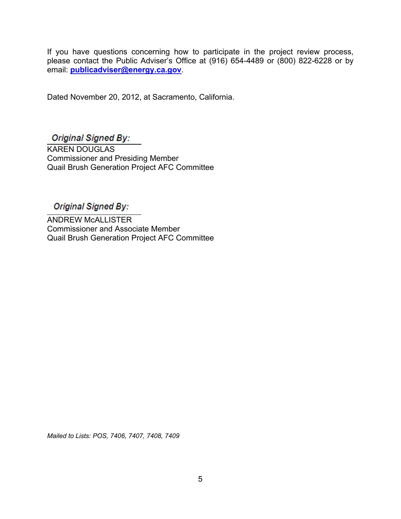If you have questions concerning how to participate in the project review process, please contact the Public Adviser's Office at (916) 654-4489 or (800) 822-6228 or by email: **publicadviser@energy.ca.gov**.

Dated November 20, 2012, at Sacramento, California.

# **Original Signed By:**

j

KAREN DOUGLAS Commissioner and Presiding Member Quail Brush Generation Project AFC Committee

# Original Signed By:

ANDREW McALLISTER Commissioner and Associate Member Quail Brush Generation Project AFC Committee

*Mailed to Lists: POS, 7406, 7407, 7408, 7409*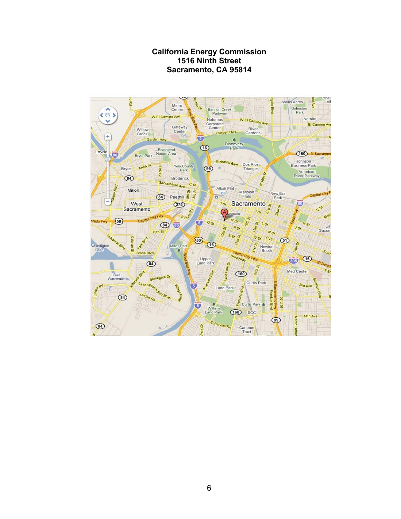# **California Energy Commission 1516 Ninth Street Sacramento, CA 95814**

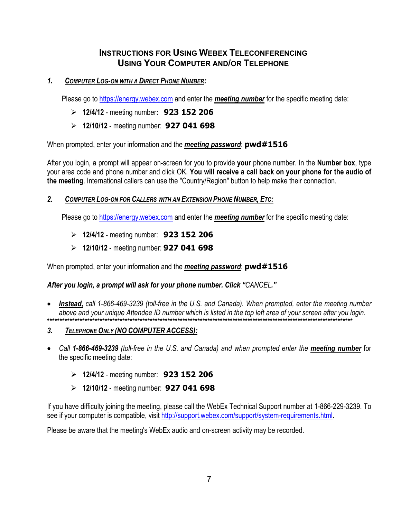# **INSTRUCTIONS FOR USING WEBEX TELECONFERENCING USING YOUR COMPUTER AND/OR TELEPHONE**

## *1. COMPUTER LOG-ON WITH A DIRECT PHONE NUMBER:*

Please go to https://energy.webex.com and enter the *meeting number* for the specific meeting date:

- ! **12/4/12** meeting number**: 923 152 206**
- ! **12/10/12**  meeting number: **927 041 698**

When prompted, enter your information and the *meeting password*: **pwd#1516** 

After you login, a prompt will appear on-screen for you to provide **your** phone number. In the **Number box**, type your area code and phone number and click OK. **You will receive a call back on your phone for the audio of the meeting**. International callers can use the "Country/Region" button to help make their connection.

## *2. COMPUTER LOG-ON FOR CALLERS WITH AN EXTENSION PHONE NUMBER, ETC:*

Please go to https://energy.webex.com and enter the *meeting number* for the specific meeting date:

- ! **12/4/12** meeting number: **923 152 206**
- ! **12/10/12**  meeting number: **927 041 698**

When prompted, enter your information and the *meeting password*: **pwd#1516** 

## *After you login, a prompt will ask for your phone number. Click "CANCEL."*

- ! *Instead, call 1-866-469-3239 (toll-free in the U.S. and Canada). When prompted, enter the meeting number above and your unique Attendee ID number which is listed in the top left area of your screen after you login.*  \*\*\*\*\*\*\*\*\*\*\*\*\*\*\*\*\*\*\*\*\*\*\*\*\*\*\*\*\*\*\*\*\*\*\*\*\*\*\*\*\*\*\*\*\*\*\*\*\*\*\*\*\*\*\*\*\*\*\*\*\*\*\*\*\*\*\*\*\*\*\*\*\*\*\*\*\*\*\*\*\*\*\*\*\*\*\*\*\*\*\*\*\*\*\*\*\*\*\*\*\*\*\*\*\*\*\*\*\*\*\*\*\*\*\*\*\*\*\*\*\*\*
- *3. TELEPHONE ONLY (NO COMPUTER ACCESS):*
- ! *Call 1-866-469-3239 (toll-free in the U.S. and Canada) and when prompted enter the meeting number* for the specific meeting date:
	- ! **12/4/12** meeting number: **923 152 206**
	- ! **12/10/12**  meeting number: **927 041 698**

If you have difficulty joining the meeting, please call the WebEx Technical Support number at 1-866-229-3239. To see if your computer is compatible, visit http://support.webex.com/support/system-requirements.html.

Please be aware that the meeting's WebEx audio and on-screen activity may be recorded.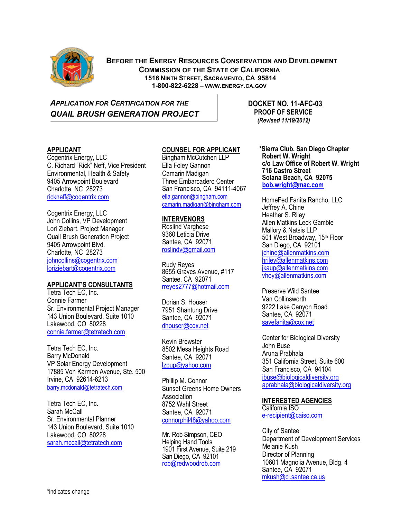

 **BEFORE THE ENERGY RESOURCES CONSERVATION AND DEVELOPMENT COMMISSION OF THE STATE OF CALIFORNIA 1516 NINTH STREET, SACRAMENTO, CA 95814 1-800-822-6228 – WWW.ENERGY.CA.GOV**

*APPLICATION FOR CERTIFICATION FOR THE* **DOCKET NO. 11-AFC-03 QUAIL BRUSH GENERATION PROJECT FIND PROOF OF SERVICE** 

 *(Revised 11/19/2012)* 

## **APPLICANT**

Cogentrix Energy, LLC C. Richard "Rick" Neff, Vice President Environmental, Health & Safety 9405 Arrowpoint Boulevard Charlotte, NC 28273 rickneff@cogentrix.com

Cogentrix Energy, LLC John Collins, VP Development Lori Ziebart, Project Manager Quail Brush Generation Project 9405 Arrowpoint Blvd. Charlotte, NC 28273 johncollins@cogentrix.com loriziebart@cogentrix.com

#### **APPLICANT'S CONSULTANTS**

Tetra Tech EC, Inc. Connie Farmer Sr. Environmental Project Manager 143 Union Boulevard, Suite 1010 Lakewood, CO 80228 connie.farmer@tetratech.com

Tetra Tech EC, Inc. Barry McDonald VP Solar Energy Development 17885 Von Karmen Avenue, Ste. 500 Irvine, CA 92614-6213 barry.mcdonald@tetratech.com

Tetra Tech EC, Inc. Sarah McCall Sr. Environmental Planner 143 Union Boulevard, Suite 1010 Lakewood, CO 80228 sarah.mccall@tetratech.com

## **COUNSEL FOR APPLICANT**

Bingham McCutchen LLP Ella Foley Gannon Camarin Madigan Three Embarcadero Center San Francisco, CA 94111-4067 ella.gannon@bingham.com camarin.madigan@bingham.com

#### **INTERVENORS**

Roslind Varghese 9360 Leticia Drive Santee, CA 92071 roslindv@gmail.com

Rudy Reyes 8655 Graves Avenue, #117 Santee, CA 92071 rreyes2777@hotmail.com

Dorian S. Houser 7951 Shantung Drive Santee, CA 92071 dhouser@cox.net

Kevin Brewster 8502 Mesa Heights Road Santee, CA 92071 lzpup@yahoo.com

Phillip M. Connor Sunset Greens Home Owners **Association** 8752 Wahl Street Santee, CA 92071 connorphil48@yahoo.com

Mr. Rob Simpson, CEO Helping Hand Tools 1901 First Avenue, Suite 219 San Diego, CA 92101 rob@redwoodrob.com

**\*Sierra Club, San Diego Chapter Robert W. Wright c/o Law Office of Robert W. Wright 716 Castro Street Solana Beach, CA 92075 bob.wright@mac.com**

HomeFed Fanita Rancho, LLC Jeffrey A. Chine Heather S. Riley Allen Matkins Leck Gamble Mallory & Natsis LLP 501 West Broadway, 15th Floor San Diego, CA 92101 jchine@allenmatkins.com hriley@allenmatkins.com ikaup@allenmatkins.com vhoy@allenmatkins.com

Preserve Wild Santee Van Collinsworth 9222 Lake Canyon Road Santee, CA 92071 savefanita@cox.net

Center for Biological Diversity John Buse Aruna Prabhala 351 California Street, Suite 600 San Francisco, CA 94104 jbuse@biologicaldiversity.org aprabhala@biologicaldiversity.org

## **INTERESTED AGENCIES**

California ISO e-recipient@caiso.com

City of Santee Department of Development Services Melanie Kush Director of Planning 10601 Magnolia Avenue, Bldg. 4 Santee, CA 92071 mkush@ci.santee.ca.us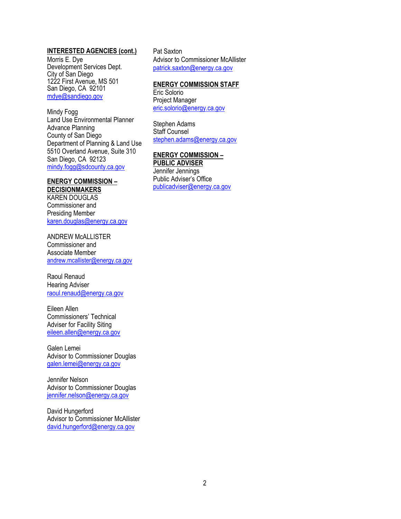#### **INTERESTED AGENCIES (cont.)**

Morris E. Dye Development Services Dept. City of San Diego 1222 First Avenue, MS 501 San Diego, CA 92101 mdye@sandiego.gov

Mindy Fogg Land Use Environmental Planner Advance Planning County of San Diego Department of Planning & Land Use 5510 Overland Avenue, Suite 310 San Diego, CA 92123 mindy.fogg@sdcounty.ca.gov

### **ENERGY COMMISSION – DECISIONMAKERS**

KAREN DOUGLAS Commissioner and Presiding Member karen.douglas@energy.ca.gov

ANDREW McALLISTER Commissioner and Associate Member andrew.mcallister@energy.ca.gov

Raoul Renaud Hearing Adviser raoul.renaud@energy.ca.gov

Eileen Allen Commissioners' Technical Adviser for Facility Siting eileen.allen@energy.ca.gov

Galen Lemei Advisor to Commissioner Douglas galen.lemei@energy.ca.gov

Jennifer Nelson Advisor to Commissioner Douglas jennifer.nelson@energy.ca.gov

David Hungerford Advisor to Commissioner McAllister david.hungerford@energy.ca.gov

Pat Saxton Advisor to Commissioner McAllister patrick.saxton@energy.ca.gov

#### **ENERGY COMMISSION STAFF**

Eric Solorio Project Manager eric.solorio@energy.ca.gov

Stephen Adams Staff Counsel stephen.adams@energy.ca.gov

## **ENERGY COMMISSION –**

**PUBLIC ADVISER** Jennifer Jennings Public Adviser's Office

publicadviser@energy.ca.gov

2